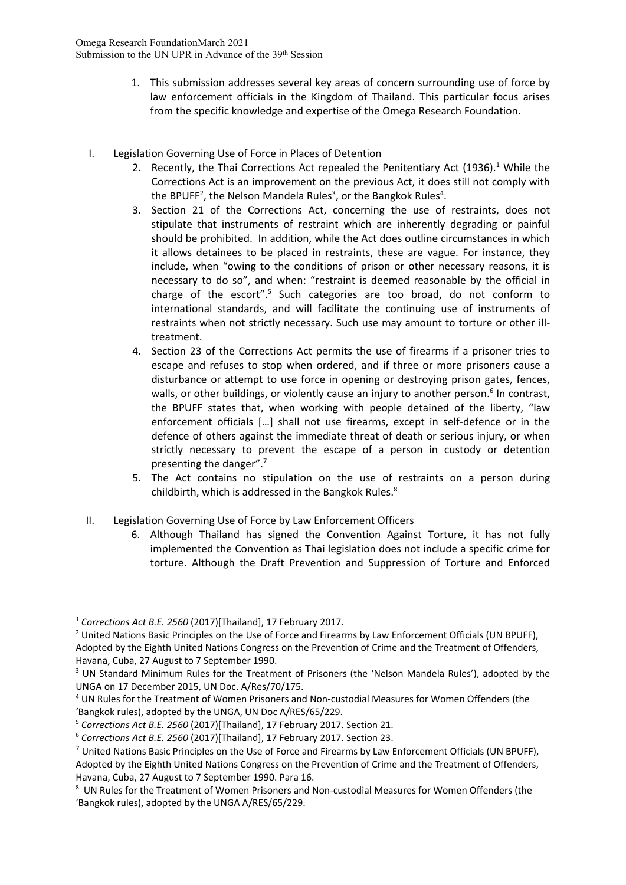- 1. This submission addresses several key areas of concern surrounding use of force by law enforcement officials in the Kingdom of Thailand. This particular focus arises from the specific knowledge and expertise of the Omega Research Foundation.
- I. Legislation Governing Use of Force in Places of Detention
	- 2. Recently, the Thai Corrections Act repealed the Penitentiary Act (1936).<sup>1</sup> While the Corrections Act is an improvement on the previous Act, it does still not comply with the BPUFF<sup>2</sup>, the Nelson Mandela Rules<sup>3</sup>, or the Bangkok Rules<sup>4</sup>.
	- 3. Section 21 of the Corrections Act, concerning the use of restraints, does not stipulate that instruments of restraint which are inherently degrading or painful should be prohibited. In addition, while the Act does outline circumstances in which it allows detainees to be placed in restraints, these are vague. For instance, they include, when "owing to the conditions of prison or other necessary reasons, it is necessary to do so", and when: "restraint is deemed reasonable by the official in charge of the escort".<sup>5</sup> Such categories are too broad, do not conform to international standards, and will facilitate the continuing use of instruments of restraints when not strictly necessary. Such use may amount to torture or other illtreatment.
	- 4. Section 23 of the Corrections Act permits the use of firearms if <sup>a</sup> prisoner tries to escape and refuses to stop when ordered, and if three or more prisoners cause <sup>a</sup> disturbance or attempt to use force in opening or destroying prison gates, fences, walls, or other buildings, or violently cause an injury to another person.<sup>6</sup> In contrast, the BPUFF states that, when working with people detained of the liberty, "law enforcement officials […] shall not use firearms, except in self-defence or in the defence of others against the immediate threat of death or serious injury, or when strictly necessary to prevent the escape of <sup>a</sup> person in custody or detention presenting the danger".<sup>7</sup>
	- 5. The Act contains no stipulation on the use of restraints on <sup>a</sup> person during childbirth, which is addressed in the Bangkok Rules.<sup>8</sup>
- II. Legislation Governing Use of Force by Law Enforcement Officers
	- 6. Although Thailand has signed the Convention Against Torture, it has not fully implemented the Convention as Thai legislation does not include <sup>a</sup> specific crime for torture. Although the Draft Prevention and Suppression of Torture and Enforced

<sup>1</sup> *Corrections Act B.E. 2560* (2017)[Thailand], 17 February 2017.

<sup>&</sup>lt;sup>2</sup> United Nations Basic Principles on the Use of Force and Firearms by Law Enforcement Officials (UN BPUFF) Adopted by the Eighth United Nations Congress on the Prevention of Crime and the Treatment of Offenders, Havana, Cuba, 27 August to 7 September 1990.

<sup>&</sup>lt;sup>3</sup> UN Standard Minimum Rules for the Treatment of Prisoners (the 'Nelson Mandela Rules'), adopted by the UNGA on 17 December 2015, UN Doc. A/Res/70/175.

<sup>4</sup> UN Rules for the Treatment of Women Prisoners and Non-custodial Measures for Women Offenders (the 'Bangkok rules), adopted by the UNGA, UN Doc A/RES/65/229.

<sup>5</sup> *Corrections Act B.E. 2560* (2017)[Thailand], 17 February 2017. Section 21.

<sup>6</sup> *Corrections Act B.E. 2560* (2017)[Thailand], 17 February 2017. Section 23.

<sup>&</sup>lt;sup>7</sup> United Nations Basic Principles on the Use of Force and Firearms by Law Enforcement Officials (UN BPUFF), Adopted by the Eighth United Nations Congress on the Prevention of Crime and the Treatment of Offenders, Havana, Cuba, 27 August to 7 September 1990. Para 16.

<sup>8</sup> UN Rules for the Treatment of Women Prisoners and Non-custodial Measures for Women Offenders (the 'Bangkok rules), adopted by the UNGA A/RES/65/229.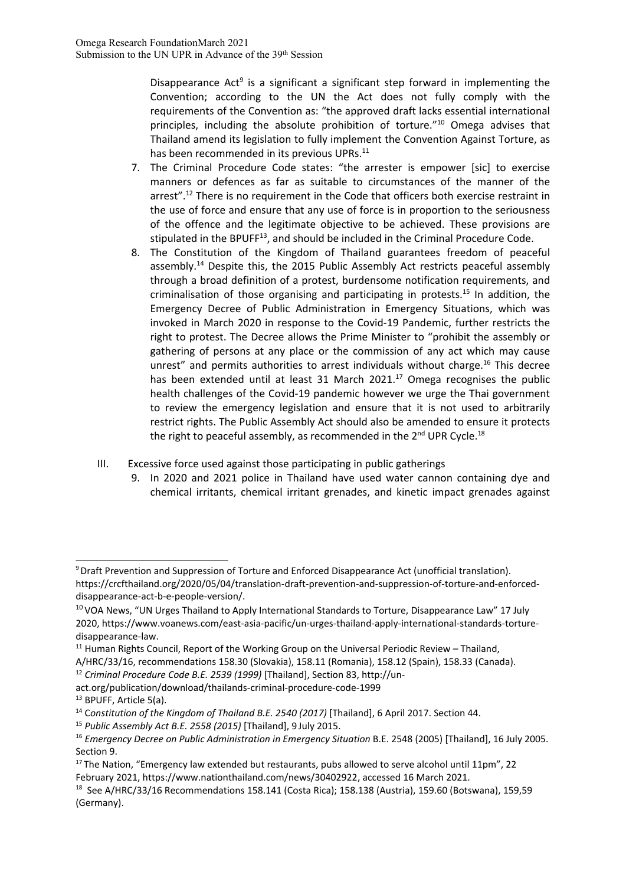Disappearance Act<sup>9</sup> is a significant a significant step forward in implementing the Convention; according to the UN the Act does not fully comply with the requirements of the Convention as: "the approved draft lacks essential international principles, including the absolute prohibition of torture." 10 Omega advises that Thailand amend its legislation to fully implement the Convention Against Torture, as has been recommended in its previous UPRs.<sup>11</sup>

- 7. The Criminal Procedure Code states: "the arrester is empower [sic] to exercise manners or defences as far as suitable to circumstances of the manner of the arrest".<sup>12</sup> There is no requirement in the Code that officers both exercise restraint in the use of force and ensure that any use of force is in proportion to the seriousness of the offence and the legitimate objective to be achieved. These provisions are stipulated in the BPUFF<sup>13</sup>, and should be included in the Criminal Procedure Code.
- 8. The Constitution of the Kingdom of Thailand guarantees freedom of peaceful assembly.<sup>14</sup> Despite this, the 2015 Public Assembly Act restricts peaceful assembly through <sup>a</sup> broad definition of <sup>a</sup> protest, burdensome notification requirements, and criminalisation of those organising and participating in protests.<sup>15</sup> In addition, the Emergency Decree of Public Administration in Emergency Situations, which was invoked in March 2020 in response to the Covid-19 Pandemic, further restricts the right to protest. The Decree allows the Prime Minister to "prohibit the assembly or gathering of persons at any place or the commission of any act which may cause unrest" and permits authorities to arrest individuals without charge.<sup>16</sup> This decree has been extended until at least 31 March 2021.<sup>17</sup> Omega recognises the public health challenges of the Covid-19 pandemic however we urge the Thai government to review the emergency legislation and ensure that it is not used to arbitrarily restrict rights. The Public Assembly Act should also be amended to ensure it protects the right to peaceful assembly, as recommended in the 2<sup>nd</sup> UPR Cycle.<sup>18</sup>
- III. Excessive force used against those participating in public gatherings
	- 9. In 2020 and 2021 police in Thailand have used water cannon containing dye and chemical irritants, chemical irritant grenades, and kinetic impact grenades against

- 12 *Criminal Procedure Code B.E. 2539 (1999)* [Thailand], Section 83, http://un-
- act.org/publication/download/thailands-criminal-procedure-code-1999 <sup>13</sup> BPUFF, Article 5(a).

<sup>9</sup> Draft Prevention and Suppression of Torture and Enforced Disappearance Act (unofficial translation). https://crcfthailand.org/2020/05/04/translation-draft-prevention-and-suppression-of-torture-and-enforceddisappearance-act-b-e-people-version/.

<sup>&</sup>lt;sup>10</sup> VOA News, "UN Urges Thailand to Apply International Standards to Torture, Disappearance Law" 17 July 2020, https://www.voanews.com/east-asia-pacific/un-urges-thailand-apply-international-standards-torturedisappearance-law.

 $11$  Human Rights Council, Report of the Working Group on the Universal Periodic Review – Thailand,

A/HRC/33/16, recommendations 158.30 (Slovakia), 158.11 (Romania), 158.12 (Spain), 158.33 (Canada).

<sup>14</sup> C*onstitution of the Kingdom of Thailand B.E. 2540 (2017)* [Thailand], 6 April 2017. Section 44.

<sup>15</sup> *Public Assembly Act B.E. 2558 (2015)* [Thailand], 9 July 2015.

<sup>16</sup> *Emergency Decree on Public Administration in Emergency Situation* B.E. 2548 (2005) [Thailand], 16 July 2005. Section 9.

<sup>&</sup>lt;sup>17</sup> The Nation, "Emergency law extended but restaurants, pubs allowed to serve alcohol until 11pm", 22 February 2021, <https://www.nationthailand.com/news/30402922>, accessed 16 March 2021.

<sup>18</sup> See A/HRC/33/16 Recommendations 158.141 (Costa Rica); 158.138 (Austria), 159.60 (Botswana), 159,59 (Germany).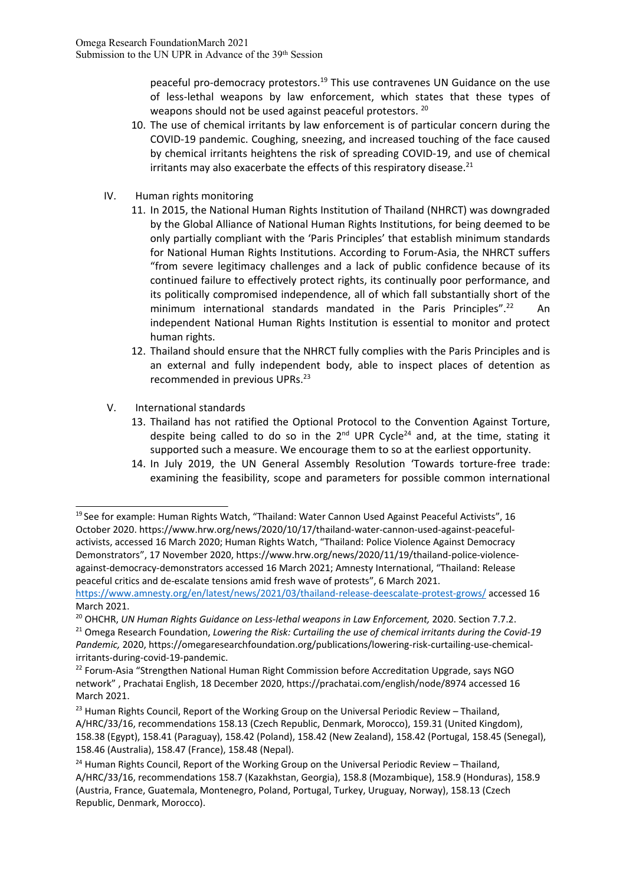peaceful pro-democracy protestors.<sup>19</sup> This use contravenes UN Guidance on the use of less-lethal weapons by law enforcement, which states that these types of weapons should not be used against peaceful protestors. <sup>20</sup>

- 10. The use of chemical irritants by law enforcement is of particular concern during the COVID-19 pandemic. Coughing, sneezing, and increased touching of the face caused by chemical irritants heightens the risk of spreading COVID-19, and use of chemical irritants may also exacerbate the effects of this respiratory disease.<sup>21</sup>
- IV. Human rights monitoring
	- 11. In 2015, the National Human Rights Institution of Thailand (NHRCT) was downgraded by the Global Alliance of National Human Rights Institutions, for being deemed to be only partially compliant with the 'Paris Principles' that establish minimum standards for National Human Rights Institutions. According to Forum-Asia, the NHRCT suffers "from severe legitimacy challenges and <sup>a</sup> lack of public confidence because of its continued failure to effectively protect rights, its continually poor performance, and its politically compromised independence, all of which fall substantially short of the minimum international standards mandated in the Paris Principles".<sup>22</sup> An independent National Human Rights Institution is essential to monitor and protect human rights.
	- 12. Thailand should ensure that the NHRCT fully complies with the Paris Principles and is an external and fully independent body, able to inspect places of detention as recommended in previous UPRs. 23
- V. International standards
	- 13. Thailand has not ratified the Optional Protocol to the Convention Against Torture, despite being called to do so in the 2<sup>nd</sup> UPR Cycle<sup>24</sup> and, at the time, stating it supported such <sup>a</sup> measure. We encourage them to so at the earliest opportunity.
	- 14. In July 2019, the UN General Assembly Resolution 'Towards torture-free trade: examining the feasibility, scope and parameters for possible common international

<sup>&</sup>lt;sup>19</sup> See for example: Human Rights Watch, "Thailand: Water Cannon Used Against Peaceful Activists", 16 October 2020. [https://www.hrw.org/news/2020/10/17/thailand-water-cannon-used-against-peaceful](https://www.hrw.org/news/2020/10/17/thailand-water-cannon-used-against-peaceful-activists)[activists,](https://www.hrw.org/news/2020/10/17/thailand-water-cannon-used-against-peaceful-activists) accessed 16 March 2020; Human Rights Watch, "Thailand: Police Violence Against Democracy Demonstrators", 17 November 2020, https://www.hrw.org/news/2020/11/19/thailand-police-violenceagainst-democracy-demonstrators accessed 16 March 2021; Amnesty International, "Thailand: Release peaceful critics and de-escalate tensions amid fresh wave of protests", 6 March 2021.

<https://www.amnesty.org/en/latest/news/2021/03/thailand-release-deescalate-protest-grows/> accessed 16 March 2021.

<sup>20</sup> OHCHR, *UN Human Rights Guidance on Less-lethal weapons in Law Enforcement,* 2020. Section 7.7.2.

<sup>21</sup> Omega Research Foundation, *Lowering the Risk: Curtailing the use of chemical irritants during the Covid-19 Pandemic,* 2020, https://omegaresearchfoundation.org/publications/lowering-risk-curtailing-use-chemicalirritants-during-covid-19-pandemic.

<sup>&</sup>lt;sup>22</sup> Forum-Asia "[Strengthen](https://prachatai.com/english/node/8974) National Human Right Commission before Accreditation Upgrade, says NGO [network](https://prachatai.com/english/node/8974)" , Prachatai English, 18 December 2020, [https://prachatai.com/english/node/8974](https://prachatai.com/english/node/8974%20accessed%2016%20March%202021) accessed 16 [March](https://prachatai.com/english/node/8974%20accessed%2016%20March%202021) 2021.

<sup>&</sup>lt;sup>23</sup> Human Rights Council, Report of the Working Group on the Universal Periodic Review – Thailand, A/HRC/33/16, recommendations 158.13 (Czech Republic, Denmark, Morocco), 159.31 (United Kingdom), 158.38 (Egypt), 158.41 (Paraguay), 158.42 (Poland), 158.42 (New Zealand), 158.42 (Portugal, 158.45 (Senegal), 158.46 (Australia), 158.47 (France), 158.48 (Nepal).

<sup>&</sup>lt;sup>24</sup> Human Rights Council, Report of the Working Group on the Universal Periodic Review – Thailand, A/HRC/33/16, recommendations 158.7 (Kazakhstan, Georgia), 158.8 (Mozambique), 158.9 (Honduras), 158.9 (Austria, France, Guatemala, Montenegro, Poland, Portugal, Turkey, Uruguay, Norway), 158.13 (Czech Republic, Denmark, Morocco).